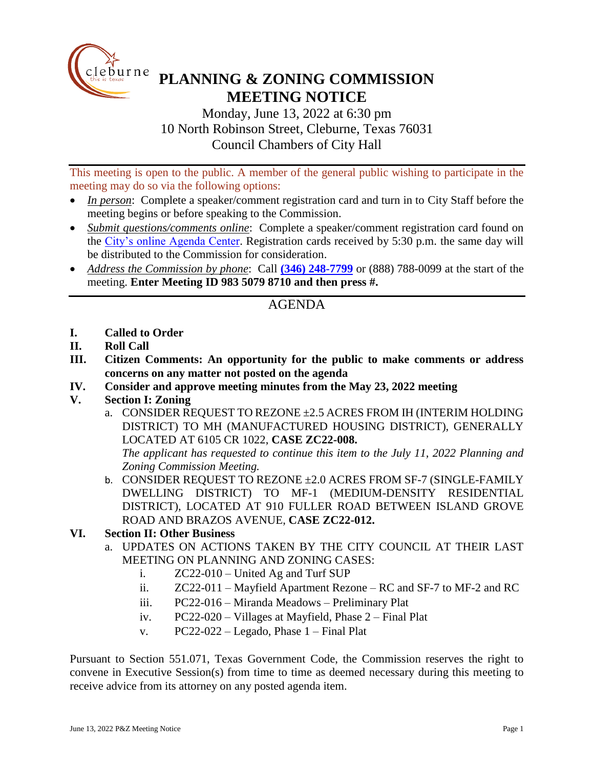

## **PLANNING & ZONING COMMISSION MEETING NOTICE**

Monday, June 13, 2022 at 6:30 pm 10 North Robinson Street, Cleburne, Texas 76031 Council Chambers of City Hall

This meeting is open to the public. A member of the general public wishing to participate in the meeting may do so via the following options:

- *In person*: Complete a speaker/comment registration card and turn in to City Staff before the meeting begins or before speaking to the Commission.
- *Submit questions/comments online*: Complete a speaker/comment registration card found on the [City's online Agenda Center.](https://www.cleburne.net/agendacenter) Registration cards received by 5:30 p.m. the same day will be distributed to the Commission for consideration.
- *Address the Commission by phone*: Call **(346) [248-7799](tel:+13127573117,,477307821)** or (888) 788-0099 at the start of the meeting. **Enter Meeting ID 983 5079 8710 and then press #.**

## AGENDA

- **I. Called to Order**
- **II. Roll Call**
- **III. Citizen Comments: An opportunity for the public to make comments or address concerns on any matter not posted on the agenda**
- **IV. Consider and approve meeting minutes from the May 23, 2022 meeting**
- **V. Section I: Zoning**
	- a. CONSIDER REQUEST TO REZONE ±2.5 ACRES FROM IH (INTERIM HOLDING DISTRICT) TO MH (MANUFACTURED HOUSING DISTRICT), GENERALLY LOCATED AT 6105 CR 1022, **CASE ZC22-008.**

*The applicant has requested to continue this item to the July 11, 2022 Planning and Zoning Commission Meeting.*

- b. CONSIDER REQUEST TO REZONE ±2.0 ACRES FROM SF-7 (SINGLE-FAMILY DWELLING DISTRICT) TO MF-1 (MEDIUM-DENSITY RESIDENTIAL DISTRICT), LOCATED AT 910 FULLER ROAD BETWEEN ISLAND GROVE ROAD AND BRAZOS AVENUE, **CASE ZC22-012.**
- **VI. Section II: Other Business**
	- a. UPDATES ON ACTIONS TAKEN BY THE CITY COUNCIL AT THEIR LAST MEETING ON PLANNING AND ZONING CASES:
		- i. ZC22-010 United Ag and Turf SUP
		- ii. ZC22-011 Mayfield Apartment Rezone RC and SF-7 to MF-2 and RC
		- iii. PC22-016 Miranda Meadows Preliminary Plat
		- iv. PC22-020 Villages at Mayfield, Phase 2 Final Plat
		- v.  $PC22-022$  Legado, Phase  $1$  Final Plat

Pursuant to Section 551.071, Texas Government Code, the Commission reserves the right to convene in Executive Session(s) from time to time as deemed necessary during this meeting to receive advice from its attorney on any posted agenda item.